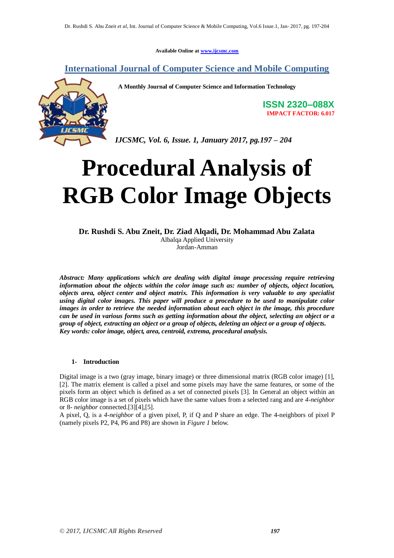**Available Online at [www.ijcsmc.com](http://www.ijcsmc.com/)**

**International Journal of Computer Science and Mobile Computing**



**A Monthly Journal of Computer Science and Information Technology**

**ISSN 2320–088X IMPACT FACTOR: 6.017**

*IJCSMC, Vol. 6, Issue. 1, January 2017, pg.197 – 204*

# **Procedural Analysis of RGB Color Image Objects**

**Dr. Rushdi S. Abu Zneit, Dr. Ziad Alqadi, Dr. Mohammad Abu Zalata** Albalqa Applied University Jordan-Amman

*Abstract: Many applications which are dealing with digital image processing require retrieving information about the objects within the color image such as: number of objects, object location, objects area, object center and object matrix. This information is very valuable to any specialist using digital color images. This paper will produce a procedure to be used to manipulate color images in order to retrieve the needed information about each object in the image, this procedure can be used in various forms such as getting information about the object, selecting an object or a group of object, extracting an object or a group of objects, deleting an object or a group of objects. Key words: color image, object, area, centroid, extrema, procedural analysis.*

#### **1- Introduction**

Digital image is a two (gray image, binary image) or three dimensional matrix (RGB color image) [1], [2]. The matrix element is called a pixel and some pixels may have the same features, or some of the pixels form an object which is defined as a set of connected pixels [3]. In General an object within an RGB color image is a set of pixels which have the same values from a selected rang and are *4-neighbor*  or 8- *neighbor* connected.[3][4],[5].

A pixel, Q, is a *4-neighbor* of a given pixel, P, if Q and P share an edge. The 4-neighbors of pixel P (namely pixels P2, P4, P6 and P8) are shown in *Figure 1* below.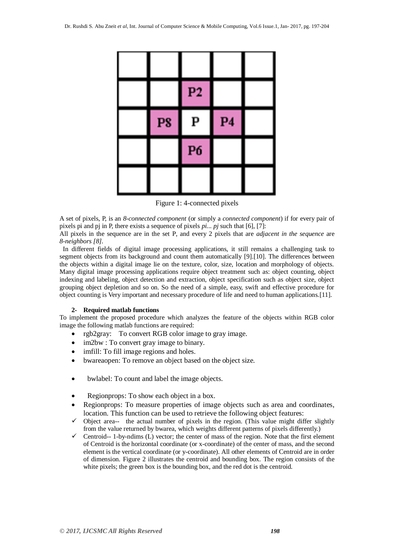

Figure 1: 4-connected pixels

A set of pixels, P, is an *8-connected component* (or simply a *connected component*) if for every pair of pixels pi and pj in P, there exists a sequence of pixels *pi... pj* such that [6], [7]:

All pixels in the sequence are in the set P, and every 2 pixels that are *adjacent in the sequence* are *8-neighbors [8].* 

In different fields of digital image processing applications, it still remains a challenging task to segment objects from its background and count them automatically [9].[10]. The differences between the objects within a digital image lie on the texture, color, size, location and morphology of objects. Many digital image processing applications require object treatment such as: object counting, object indexing and labeling, object detection and extraction, object specification such as object size, object grouping object depletion and so on. So the need of a simple, easy, swift and effective procedure for object counting is Very important and necessary procedure of life and need to human applications.[11].

#### **2- Required matlab functions**

To implement the proposed procedure which analyzes the feature of the objects within RGB color image the following matlab functions are required:

- rgb2gray: To convert RGB color image to gray image.
- im2bw : To convert gray image to binary.
- imfill: To fill image regions and holes.
- bwareaopen: To remove an object based on the object size.
- bwlabel: To count and label the image objects.
- Regionprops: To show each object in a box.
- Regionprops: To measure properties of image objects such as area and coordinates, location. This function can be used to retrieve the following object features:
- Object area-- the actual number of pixels in the region. (This value might differ slightly from the value returned by bwarea, which weights different patterns of pixels differently.)
- Centroid-- 1-by-ndims (L) vector; the center of mass of the region. Note that the first element of Centroid is the horizontal coordinate (or x-coordinate) of the center of mass, and the second element is the vertical coordinate (or y-coordinate). All other elements of Centroid are in order of dimension. Figure 2 illustrates the centroid and bounding box. The region consists of the white pixels; the green box is the bounding box, and the red dot is the centroid.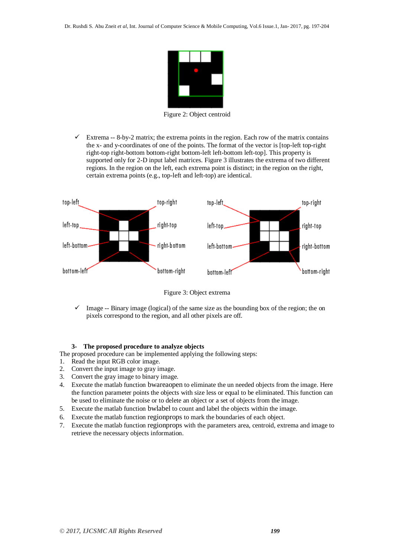

Figure 2: Object centroid

 $\checkmark$  Extrema -- 8-by-2 matrix; the extrema points in the region. Each row of the matrix contains the x- and y-coordinates of one of the points. The format of the vector is [top-left top-right right-top right-bottom bottom-right bottom-left left-bottom left-top]. This property is supported only for 2-D input label matrices. Figure 3 illustrates the extrema of two different regions. In the region on the left, each extrema point is distinct; in the region on the right, certain extrema points (e.g., top-left and left-top) are identical.



Figure 3: Object extrema

 $\checkmark$  Image -- Binary image (logical) of the same size as the bounding box of the region; the on pixels correspond to the region, and all other pixels are off.

#### **3- The proposed procedure to analyze objects**

The proposed procedure can be implemented applying the following steps:

- 1. Read the input RGB color image.
- 2. Convert the input image to gray image.
- 3. Convert the gray image to binary image.
- 4. Execute the matlab function bwareaopen to eliminate the un needed objects from the image. Here the function parameter points the objects with size less or equal to be eliminated. This function can be used to eliminate the noise or to delete an object or a set of objects from the image.
- 5. Execute the matlab function bwlabel to count and label the objects within the image.
- 6. Execute the matlab function regionprops to mark the boundaries of each object.
- 7. Execute the matlab function regionprops with the parameters area, centroid, extrema and image to retrieve the necessary objects information.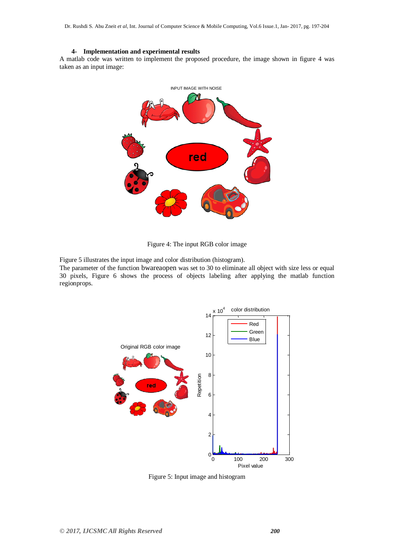#### **4- Implementation and experimental results**

A matlab code was written to implement the proposed procedure, the image shown in figure 4 was taken as an input image:



Figure 4: The input RGB color image

Figure 5 illustrates the input image and color distribution (histogram).

The parameter of the function bwareaopen was set to 30 to eliminate all object with size less or equal 30 pixels, Figure 6 shows the process of objects labeling after applying the matlab function regionprops.



Figure 5: Input image and histogram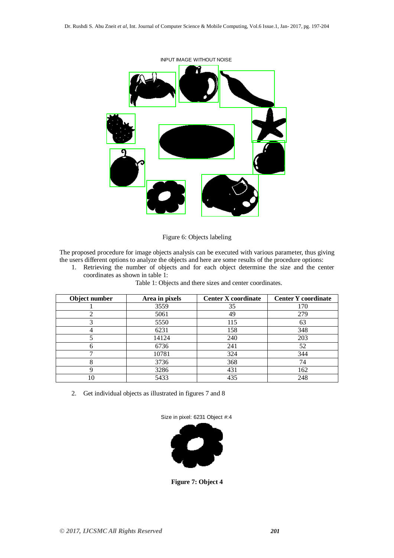

Figure 6: Objects labeling

The proposed procedure for image objects analysis can be executed with various parameter, thus giving the users different options to analyze the objects and here are some results of the procedure options:

1. Retrieving the number of objects and for each object determine the size and the center coordinates as shown in table 1:

Table 1: Objects and there sizes and center coordinates.

| Object number | Area in pixels | <b>Center X coordinate</b> | <b>Center Y coordinate</b> |
|---------------|----------------|----------------------------|----------------------------|
|               | 3559           | 35                         | 170                        |
|               | 5061           | 49                         | 279                        |
|               | 5550           | 115                        | 63                         |
|               | 6231           | 158                        | 348                        |
|               | 14124          | 240                        | 203                        |
|               | 6736           | 241                        | 52                         |
|               | 10781          | 324                        | 344                        |
| 8             | 3736           | 368                        | 74                         |
|               | 3286           | 431                        | 162                        |
| 10            | 5433           | 435                        | 248                        |

2. Get individual objects as illustrated in figures 7 and 8

Size in pixel: 6231 Object #:4



**Figure 7: Object 4**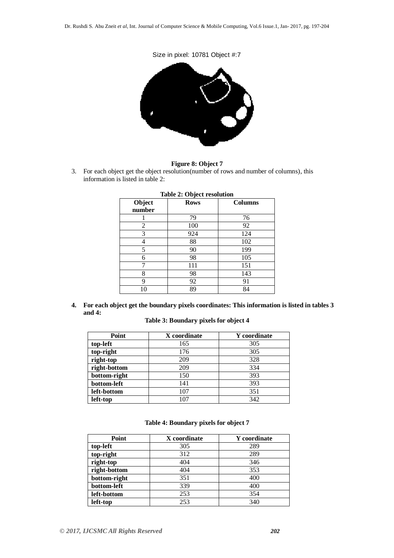Size in pixel: 10781 Object #:7



#### **Figure 8: Object 7**

3. For each object get the object resolution(number of rows and number of columns), this information is listed in table 2:

| Table 2. Object resolution |             |                |  |  |
|----------------------------|-------------|----------------|--|--|
| Object<br>number           | <b>Rows</b> | <b>Columns</b> |  |  |
|                            | 79          | 76             |  |  |
| 2                          | 100         | 92             |  |  |
| 3                          | 924         | 124            |  |  |
|                            | 88          | 102            |  |  |
| 5                          | 90          | 199            |  |  |
| 6                          | 98          | 105            |  |  |
| ┑                          | 111         | 151            |  |  |
| 8                          | 98          | 143            |  |  |
| 9                          | 92          | 91             |  |  |
| 10                         | 89          | 84             |  |  |

#### **Table 2: Object resolution**

**4. For each object get the boundary pixels coordinates: This information is listed in tables 3 and 4:**

#### **Table 3: Boundary pixels for object 4**

| Point        | X coordinate | <b>Y</b> coordinate |
|--------------|--------------|---------------------|
| top-left     | 165          | 305                 |
| top-right    | 176          | 305                 |
| right-top    | 209          | 328                 |
| right-bottom | 209          | 334                 |
| bottom-right | 150          | 393                 |
| bottom-left  | 141          | 393                 |
| left-bottom  | 107          | 351                 |
| left-top     | 107          | 342                 |

### **Table 4: Boundary pixels for object 7**

| Point        | X coordinate | Y coordinate |
|--------------|--------------|--------------|
| top-left     | 305          | 289          |
| top-right    | 312          | 289          |
| right-top    | 404          | 346          |
| right-bottom | 404          | 353          |
| bottom-right | 351          | 400          |
| bottom-left  | 339          | 400          |
| left-bottom  | 253          | 354          |
| left-top     | 253          | 340          |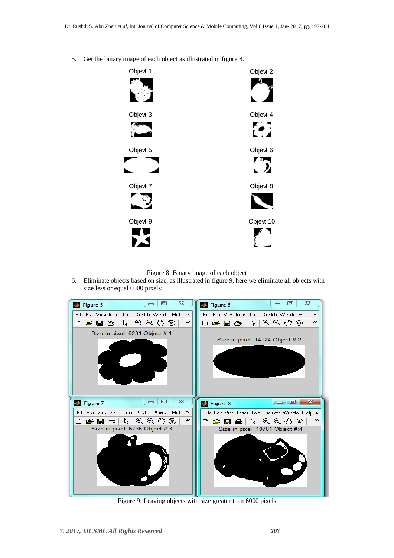

5. Get the binary image of each object as illustrated in figure 8.



6. Eliminate objects based on size, as illustrated in figure 9, here we eliminate all objects with size less or equal 6000 pixels:



Figure 9: Leaving objects with size greater than 6000 pixels